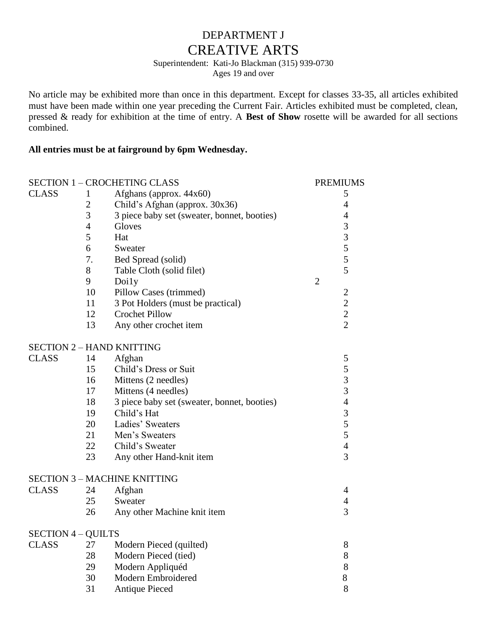## DEPARTMENT J CREATIVE ARTS

# Superintendent: Kati-Jo Blackman (315) 939-0730

Ages 19 and over

No article may be exhibited more than once in this department. Except for classes 33-35, all articles exhibited must have been made within one year preceding the Current Fair. Articles exhibited must be completed, clean, pressed & ready for exhibition at the time of entry. A **Best of Show** rosette will be awarded for all sections combined.

#### **All entries must be at fairground by 6pm Wednesday.**

|                |                                  | <b>PREMIUMS</b>                                                                                                                                                                                                                                                                                                                                                                                                                                                                                                                                                                                     |
|----------------|----------------------------------|-----------------------------------------------------------------------------------------------------------------------------------------------------------------------------------------------------------------------------------------------------------------------------------------------------------------------------------------------------------------------------------------------------------------------------------------------------------------------------------------------------------------------------------------------------------------------------------------------------|
| $\mathbf{1}$   |                                  | 5                                                                                                                                                                                                                                                                                                                                                                                                                                                                                                                                                                                                   |
| $\mathbf{2}$   |                                  | $\overline{4}$                                                                                                                                                                                                                                                                                                                                                                                                                                                                                                                                                                                      |
| 3              |                                  | 4                                                                                                                                                                                                                                                                                                                                                                                                                                                                                                                                                                                                   |
| $\overline{4}$ | Gloves                           | 3                                                                                                                                                                                                                                                                                                                                                                                                                                                                                                                                                                                                   |
| 5              | Hat                              | $\overline{3}$                                                                                                                                                                                                                                                                                                                                                                                                                                                                                                                                                                                      |
| 6              | Sweater                          | 5                                                                                                                                                                                                                                                                                                                                                                                                                                                                                                                                                                                                   |
| 7.             |                                  | $\sqrt{5}$                                                                                                                                                                                                                                                                                                                                                                                                                                                                                                                                                                                          |
| 8              |                                  | 5                                                                                                                                                                                                                                                                                                                                                                                                                                                                                                                                                                                                   |
| 9              |                                  | $\overline{2}$                                                                                                                                                                                                                                                                                                                                                                                                                                                                                                                                                                                      |
| 10             |                                  | $\overline{2}$                                                                                                                                                                                                                                                                                                                                                                                                                                                                                                                                                                                      |
| 11             |                                  | $\overline{c}$                                                                                                                                                                                                                                                                                                                                                                                                                                                                                                                                                                                      |
| 12             | <b>Crochet Pillow</b>            | $\frac{2}{2}$                                                                                                                                                                                                                                                                                                                                                                                                                                                                                                                                                                                       |
| 13             | Any other crochet item           |                                                                                                                                                                                                                                                                                                                                                                                                                                                                                                                                                                                                     |
|                |                                  |                                                                                                                                                                                                                                                                                                                                                                                                                                                                                                                                                                                                     |
|                |                                  | 5                                                                                                                                                                                                                                                                                                                                                                                                                                                                                                                                                                                                   |
|                |                                  | 5                                                                                                                                                                                                                                                                                                                                                                                                                                                                                                                                                                                                   |
|                |                                  | 3                                                                                                                                                                                                                                                                                                                                                                                                                                                                                                                                                                                                   |
|                |                                  | $\overline{3}$                                                                                                                                                                                                                                                                                                                                                                                                                                                                                                                                                                                      |
|                |                                  | $\overline{4}$                                                                                                                                                                                                                                                                                                                                                                                                                                                                                                                                                                                      |
|                | Child's Hat                      | 3                                                                                                                                                                                                                                                                                                                                                                                                                                                                                                                                                                                                   |
| 20             | Ladies' Sweaters                 | 5                                                                                                                                                                                                                                                                                                                                                                                                                                                                                                                                                                                                   |
|                | Men's Sweaters                   | 5                                                                                                                                                                                                                                                                                                                                                                                                                                                                                                                                                                                                   |
|                | Child's Sweater                  | $\overline{4}$                                                                                                                                                                                                                                                                                                                                                                                                                                                                                                                                                                                      |
| 23             | Any other Hand-knit item         | 3                                                                                                                                                                                                                                                                                                                                                                                                                                                                                                                                                                                                   |
|                |                                  |                                                                                                                                                                                                                                                                                                                                                                                                                                                                                                                                                                                                     |
|                |                                  | 4                                                                                                                                                                                                                                                                                                                                                                                                                                                                                                                                                                                                   |
|                | Sweater                          | $\overline{4}$                                                                                                                                                                                                                                                                                                                                                                                                                                                                                                                                                                                      |
| 26             | Any other Machine knit item      | 3                                                                                                                                                                                                                                                                                                                                                                                                                                                                                                                                                                                                   |
|                |                                  |                                                                                                                                                                                                                                                                                                                                                                                                                                                                                                                                                                                                     |
| 27             |                                  | 8                                                                                                                                                                                                                                                                                                                                                                                                                                                                                                                                                                                                   |
| 28             | Modern Pieced (tied)             | 8                                                                                                                                                                                                                                                                                                                                                                                                                                                                                                                                                                                                   |
| 29             |                                  | 8                                                                                                                                                                                                                                                                                                                                                                                                                                                                                                                                                                                                   |
| 30             | Modern Embroidered               | 8                                                                                                                                                                                                                                                                                                                                                                                                                                                                                                                                                                                                   |
| 31             | <b>Antique Pieced</b>            | 8                                                                                                                                                                                                                                                                                                                                                                                                                                                                                                                                                                                                   |
|                | 14<br>15<br>16<br>17<br>18<br>19 | <b>SECTION 1 - CROCHETING CLASS</b><br>Afghans (approx. 44x60)<br>Child's Afghan (approx. 30x36)<br>3 piece baby set (sweater, bonnet, booties)<br>Bed Spread (solid)<br>Table Cloth (solid filet)<br>Doily<br>Pillow Cases (trimmed)<br>3 Pot Holders (must be practical)<br><b>SECTION 2 - HAND KNITTING</b><br>Afghan<br>Child's Dress or Suit<br>Mittens (2 needles)<br>Mittens (4 needles)<br>3 piece baby set (sweater, bonnet, booties)<br>21<br>22<br><b>SECTION 3 - MACHINE KNITTING</b><br>24<br>Afghan<br>25<br><b>SECTION 4 – QUILTS</b><br>Modern Pieced (quilted)<br>Modern Appliquéd |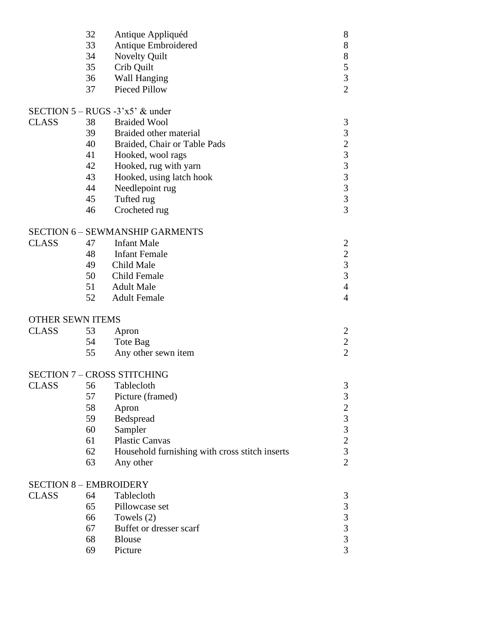|                         | 32<br>33<br>34<br>35<br>36<br>37 | Antique Appliquéd<br>Antique Embroidered<br>Novelty Quilt<br>Crib Quilt<br><b>Wall Hanging</b><br><b>Pieced Pillow</b> | 8<br>$8\,$<br>8<br>5<br>$\overline{3}$<br>$\overline{2}$ |
|-------------------------|----------------------------------|------------------------------------------------------------------------------------------------------------------------|----------------------------------------------------------|
|                         |                                  | SECTION $5 - RUGS - 3'x5'$ & under                                                                                     |                                                          |
| <b>CLASS</b>            | 38                               | <b>Braided Wool</b>                                                                                                    | $\mathfrak{Z}$                                           |
|                         | 39                               | Braided other material                                                                                                 | $\mathfrak{Z}$                                           |
|                         | 40                               | Braided, Chair or Table Pads                                                                                           |                                                          |
|                         | 41                               | Hooked, wool rags                                                                                                      | $\begin{array}{c}\n233 \\ 333\n\end{array}$              |
|                         | 42                               | Hooked, rug with yarn                                                                                                  |                                                          |
|                         | 43                               | Hooked, using latch hook                                                                                               |                                                          |
|                         | 44                               | Needlepoint rug                                                                                                        |                                                          |
|                         | 45                               | Tufted rug                                                                                                             |                                                          |
|                         | 46                               | Crocheted rug                                                                                                          | $\overline{3}$                                           |
|                         |                                  | <b>SECTION 6 - SEWMANSHIP GARMENTS</b>                                                                                 |                                                          |
| <b>CLASS</b>            | 47                               | <b>Infant Male</b>                                                                                                     | $\overline{2}$                                           |
|                         | 48                               | <b>Infant Female</b>                                                                                                   |                                                          |
|                         | 49                               | Child Male                                                                                                             | $\frac{2}{3}$                                            |
|                         | 50                               | <b>Child Female</b>                                                                                                    | $\overline{3}$                                           |
|                         | 51                               | <b>Adult Male</b>                                                                                                      | $\overline{4}$                                           |
|                         | 52                               | <b>Adult Female</b>                                                                                                    | $\overline{4}$                                           |
| <b>OTHER SEWN ITEMS</b> |                                  |                                                                                                                        |                                                          |
| <b>CLASS</b>            | 53                               | Apron                                                                                                                  | 2                                                        |
|                         | 54                               | Tote Bag                                                                                                               | $\overline{2}$                                           |
|                         | 55                               | Any other sewn item                                                                                                    | $\overline{2}$                                           |
|                         |                                  | <b>SECTION 7 - CROSS STITCHING</b>                                                                                     |                                                          |
| <b>CLASS</b>            | 56                               | Tablecloth                                                                                                             | 3                                                        |
|                         | 57                               | Picture (framed)                                                                                                       | 3                                                        |
|                         | 58                               | Apron                                                                                                                  |                                                          |
|                         | 59                               | Bedspread                                                                                                              | $\begin{array}{c} 2 \\ 3 \\ 3 \end{array}$               |
|                         | 60                               | Sampler                                                                                                                |                                                          |
|                         | 61                               | <b>Plastic Canvas</b>                                                                                                  | $\overline{c}$                                           |
|                         | 62                               | Household furnishing with cross stitch inserts                                                                         | $\overline{3}$                                           |
|                         | 63                               | Any other                                                                                                              | $\overline{2}$                                           |
|                         |                                  | <b>SECTION 8 - EMBROIDERY</b>                                                                                          |                                                          |
| <b>CLASS</b>            | 64                               | Tablecloth                                                                                                             | 3                                                        |
|                         | 65                               | Pillowcase set                                                                                                         |                                                          |
|                         | 66                               | Towels $(2)$                                                                                                           | $\begin{array}{c} 3 \\ 3 \\ 3 \end{array}$               |
|                         | 67                               | Buffet or dresser scarf                                                                                                |                                                          |
|                         | 68                               | <b>Blouse</b>                                                                                                          | $\overline{3}$                                           |
|                         | 69                               | Picture                                                                                                                | $\overline{3}$                                           |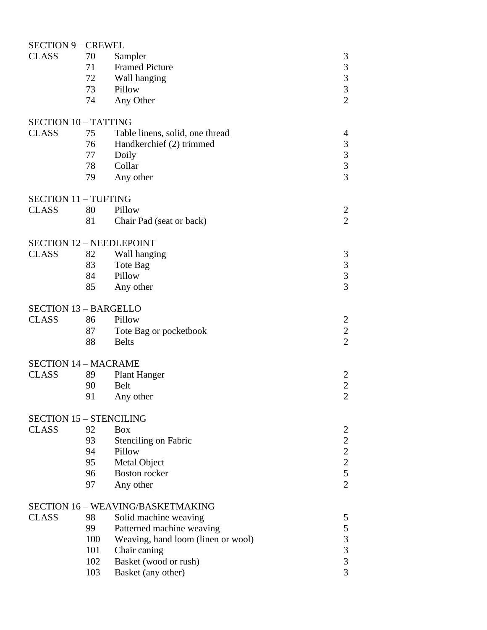### SECTION 9 – CREWEL

| <b>CLASS</b>                                    | 70  | Sampler                                  | 3                                          |
|-------------------------------------------------|-----|------------------------------------------|--------------------------------------------|
|                                                 | 71  | <b>Framed Picture</b>                    | $\overline{\mathbf{3}}$                    |
|                                                 | 72  | Wall hanging                             |                                            |
|                                                 | 73  | Pillow                                   | $\begin{array}{c} 3 \\ 3 \\ 2 \end{array}$ |
|                                                 | 74  | Any Other                                |                                            |
|                                                 |     |                                          |                                            |
| <b>SECTION 10 - TATTING</b>                     |     |                                          |                                            |
| <b>CLASS</b>                                    | 75  | Table linens, solid, one thread          | $\overline{\mathcal{A}}$                   |
|                                                 | 76  | Handkerchief (2) trimmed                 |                                            |
|                                                 | 77  | Doily                                    | $\begin{array}{c} 3 \\ 3 \\ 3 \end{array}$ |
|                                                 | 78  | Collar                                   |                                            |
|                                                 | 79  | Any other                                |                                            |
|                                                 |     |                                          |                                            |
| <b>SECTION 11 - TUFTING</b>                     |     |                                          |                                            |
| <b>CLASS</b>                                    | 80  | Pillow                                   | $\overline{c}$                             |
|                                                 | 81  | Chair Pad (seat or back)                 | $\overline{2}$                             |
|                                                 |     |                                          |                                            |
| <b>SECTION 12 - NEEDLEPOINT</b><br><b>CLASS</b> | 82  |                                          |                                            |
|                                                 |     | Wall hanging                             | $\mathfrak{Z}$                             |
|                                                 | 83  | Tote Bag                                 |                                            |
|                                                 | 84  | Pillow                                   | $\begin{array}{c} 3 \\ 3 \\ 3 \end{array}$ |
|                                                 | 85  | Any other                                |                                            |
| <b>SECTION 13 - BARGELLO</b>                    |     |                                          |                                            |
| <b>CLASS</b>                                    | 86  | Pillow                                   | $\overline{c}$                             |
|                                                 | 87  | Tote Bag or pocketbook                   | $\sqrt{2}$                                 |
|                                                 | 88  | <b>Belts</b>                             | $\overline{2}$                             |
|                                                 |     |                                          |                                            |
| <b>SECTION 14 - MACRAME</b>                     |     |                                          |                                            |
| <b>CLASS</b>                                    | 89  | <b>Plant Hanger</b>                      | $\overline{2}$                             |
|                                                 | 90  | <b>Belt</b>                              | $\overline{c}$                             |
|                                                 | 91  | Any other                                | $\overline{2}$                             |
|                                                 |     |                                          |                                            |
| <b>SECTION 15 - STENCILING</b>                  |     |                                          |                                            |
| <b>CLASS</b>                                    | 92  | <b>Box</b>                               | $\overline{2}$                             |
|                                                 | 93  | <b>Stenciling on Fabric</b>              | $\overline{c}$                             |
|                                                 | 94  | Pillow                                   | $\frac{2}{2}$                              |
|                                                 | 95  | <b>Metal Object</b>                      |                                            |
|                                                 | 96  | <b>Boston</b> rocker                     | 5                                          |
|                                                 | 97  | Any other                                | $\overline{2}$                             |
|                                                 |     |                                          |                                            |
|                                                 |     | <b>SECTION 16 - WEAVING/BASKETMAKING</b> |                                            |
| <b>CLASS</b>                                    | 98  | Solid machine weaving                    | 5                                          |
|                                                 | 99  | Patterned machine weaving                | 5                                          |
|                                                 | 100 | Weaving, hand loom (linen or wool)       |                                            |
|                                                 | 101 | Chair caning                             | $\begin{array}{c} 3 \\ 3 \\ 3 \end{array}$ |
|                                                 | 102 | Basket (wood or rush)                    |                                            |
|                                                 | 103 | Basket (any other)                       | $\overline{3}$                             |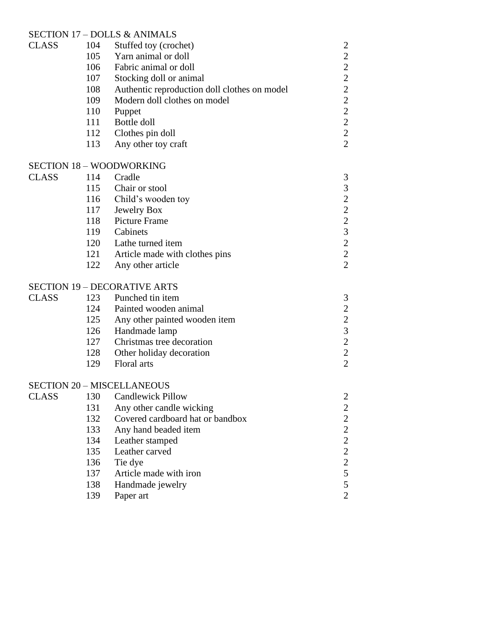### SECTION 17 – DOLLS & ANIMALS

| <b>CLASS</b> | 104 | Stuffed toy (crochet)                        |                                                 |
|--------------|-----|----------------------------------------------|-------------------------------------------------|
|              | 105 | Yarn animal or doll                          |                                                 |
|              | 106 | Fabric animal or doll                        |                                                 |
|              | 107 | Stocking doll or animal                      | $2222$<br>$222$<br>$22$                         |
|              | 108 | Authentic reproduction doll clothes on model |                                                 |
|              | 109 | Modern doll clothes on model                 |                                                 |
|              | 110 | Puppet                                       |                                                 |
|              | 111 | Bottle doll                                  | $\frac{2}{2}$                                   |
|              | 112 | Clothes pin doll                             |                                                 |
|              | 113 | Any other toy craft                          | $\overline{c}$                                  |
|              |     | <b>SECTION 18 – WOODWORKING</b>              |                                                 |
| <b>CLASS</b> | 114 | Cradle                                       | 3                                               |
|              | 115 | Chair or stool                               |                                                 |
|              | 116 | Child's wooden toy                           |                                                 |
|              | 117 | Jewelry Box                                  | $3222$<br>$232$<br>$22$                         |
|              | 118 | <b>Picture Frame</b>                         |                                                 |
|              | 119 | Cabinets                                     |                                                 |
|              | 120 | Lathe turned item                            |                                                 |
|              | 121 | Article made with clothes pins               |                                                 |
|              | 122 | Any other article                            | $\overline{c}$                                  |
|              |     | <b>SECTION 19 – DECORATIVE ARTS</b>          |                                                 |
| <b>CLASS</b> | 123 | Punched tin item                             | 3                                               |
|              | 124 | Painted wooden animal                        |                                                 |
|              | 125 | Any other painted wooden item                | $\begin{array}{c} 2 \\ 2 \\ 3 \\ 2 \end{array}$ |
|              | 126 | Handmade lamp                                |                                                 |
|              | 127 | Christmas tree decoration                    |                                                 |
|              | 128 | Other holiday decoration                     |                                                 |
|              | 129 | Floral arts                                  | $\overline{c}$                                  |
|              |     | <b>SECTION 20 - MISCELLANEOUS</b>            |                                                 |
| <b>CLASS</b> |     | 130 Candlewick Pillow                        | $\overline{c}$                                  |
|              | 131 | Any other candle wicking                     | $\overline{\mathbf{c}}$                         |
|              | 132 | Covered cardboard hat or bandbox             |                                                 |
|              | 133 | Any hand beaded item                         |                                                 |
|              | 134 | Leather stamped                              |                                                 |
|              | 135 | Leather carved                               | $2222$<br>$225$                                 |
|              | 136 | Tie dye                                      |                                                 |
|              | 137 | Article made with iron                       |                                                 |
|              | 138 | Handmade jewelry                             | 5                                               |
|              | 139 | Paper art                                    | $\overline{c}$                                  |